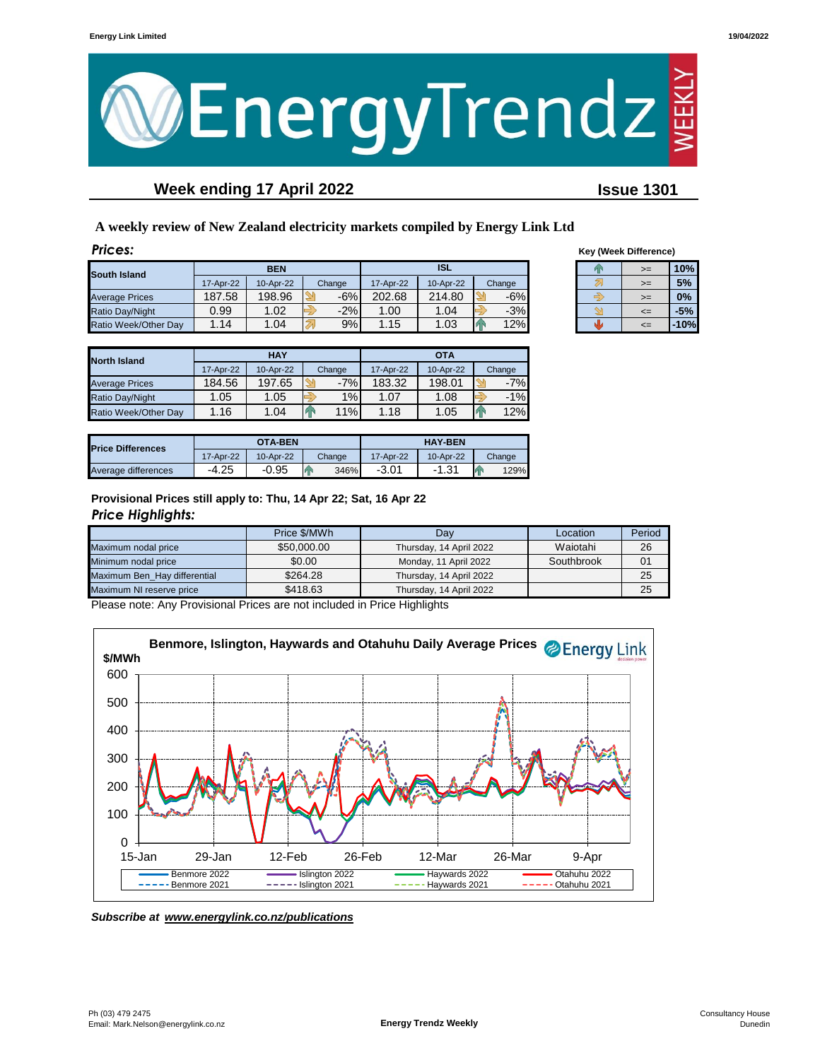

# **Week ending 17 April 2022 Issue 1301**

**A weekly review of New Zealand electricity markets compiled by Energy Link Ltd**

| Prices:               |            |           |        |            |           |        |            | <b>Key (Week Difference)</b> |        |
|-----------------------|------------|-----------|--------|------------|-----------|--------|------------|------------------------------|--------|
| South Island          | <b>BEN</b> |           |        | <b>ISL</b> |           |        | $>=$<br>Þх |                              | 10%    |
|                       | 17-Apr-22  | 10-Apr-22 | Change | 17-Apr-22  | 10-Apr-22 | Change |            | $>=$                         | 5%     |
| <b>Average Prices</b> | 187.58     | 198.96    | $-6%$  | 202.68     | 214.80    | $-6%$  |            | $>=$                         | 0%     |
| Ratio Day/Night       | 0.99       | 1.02      | $-2%$  | 1.00       | 1.04      | $-3%$  |            | $\leq$                       | $-5%$  |
| Ratio Week/Other Day  | .14        | 1.04      | 9%     | 1.15       | 1.03      | 12%    |            | $\leq$                       | $-10%$ |

| <b>Key (Week Difference)</b> |    |        |  |  |  |  |
|------------------------------|----|--------|--|--|--|--|
|                              | >= | 10%    |  |  |  |  |
|                              | >= | 5%     |  |  |  |  |
|                              | >= | 0%     |  |  |  |  |
|                              | <= | $-5%$  |  |  |  |  |
|                              |    | $-10%$ |  |  |  |  |

| <b>North Island</b>   |           | <b>HAY</b> |        | <b>OTA</b> |           |          |  |
|-----------------------|-----------|------------|--------|------------|-----------|----------|--|
|                       | 17-Apr-22 | 10-Apr-22  | Change | 17-Apr-22  | 10-Apr-22 | Change   |  |
| <b>Average Prices</b> | 184.56    | 197.65     | $-7%$  | 183.32     | 198.01    | $-7%$    |  |
| Ratio Day/Night       | 1.05      | 1.05       | 1%     | 1.07       | 1.08      | $-1%$    |  |
| Ratio Week/Other Dav  | 1.16      | 1.04       | 11%    | 1.18       | 1.05      | 12%<br>и |  |

| <b>Price Differences</b> |           | <b>OTA-BEN</b> |        | <b>HAY-BEN</b> |           |        |  |
|--------------------------|-----------|----------------|--------|----------------|-----------|--------|--|
|                          | 17-Apr-22 | 10-Apr-22      | Change | 17-Apr-22      | 10-Apr-22 | Change |  |
| Average differences      | $-4.25$   | $-0.95$        | 346%   | $-3.01$        | $-1.31$   | 129%   |  |

**Provisional Prices still apply to: Thu, 14 Apr 22; Sat, 16 Apr 22** *Price Highlights:*

|                              | Price \$/MWh | Dav                     | Location   | Period |
|------------------------------|--------------|-------------------------|------------|--------|
| Maximum nodal price          | \$50,000,00  | Thursday, 14 April 2022 | Waiotahi   | 26     |
| Minimum nodal price          | \$0.00       | Monday, 11 April 2022   | Southbrook | 01     |
| Maximum Ben Hay differential | \$264.28     | Thursday, 14 April 2022 |            | 25     |
| Maximum NI reserve price     | \$418.63     | Thursday, 14 April 2022 |            | 25     |

Please note: Any Provisional Prices are not included in Price Highlights



*Subscribe at www.energylink.co.nz/publications*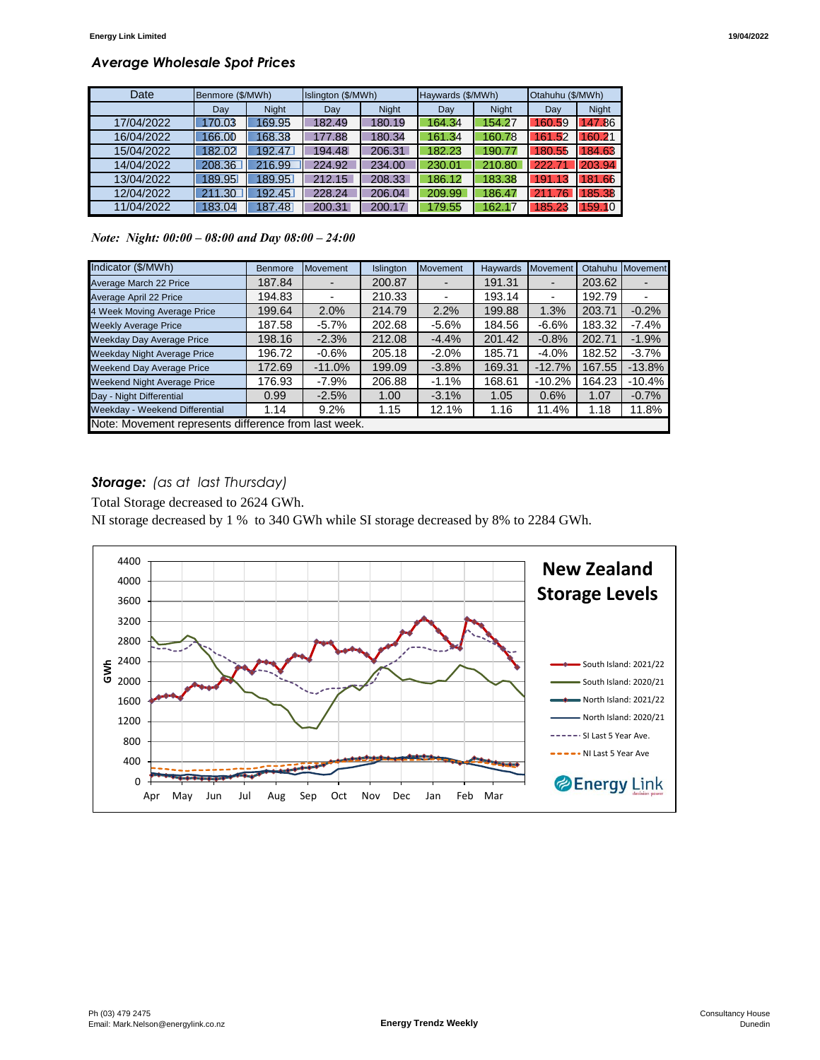## *Average Wholesale Spot Prices*

| Date       | Benmore (\$/MWh) |              | Islington (\$/MWh) |        | Haywards (\$/MWh) |              | Otahuhu (\$/MWh) |              |
|------------|------------------|--------------|--------------------|--------|-------------------|--------------|------------------|--------------|
|            | Day              | <b>Night</b> | Day                | Night  | Dav               | <b>Night</b> | Dav              | <b>Night</b> |
| 17/04/2022 | 170.03           | 169.95       | 182.49             | 180.19 | 164.34            | 154.27       | 160.59           | 47.86        |
| 16/04/2022 | 166.00           | 168.38       | 177.88             | 180.34 | 161.34            | 160.78       | 161.52           | 160.21       |
| 15/04/2022 | 182.02           | 192.47       | 194.48             | 206.31 | 182.23            | 190.77       | 180.55           | 184.63       |
| 14/04/2022 | 208.36           | 216.99       | 224.92             | 234.00 | 230.01            | 210.80       | 222.7'           | 203.94       |
| 13/04/2022 | 189.95           | 189.95       | 212.15             | 208.33 | 186.12            | 183.38       | 191.13           | 181.66       |
| 12/04/2022 | 211.30           | 192.45       | 228.24             | 206.04 | 209.99            | 186.47       | 211.76           | 85.38        |
| 11/04/2022 | 183.04           | 187.48       | 200.31             | 200.17 | 179.55            | 162.17       | 185.23           | 159.10       |

*Note: Night: 00:00 – 08:00 and Day 08:00 – 24:00*

| Indicator (\$/MWh)                                   | <b>Benmore</b> | <b>Movement</b> | Islington | <b>Movement</b> | Haywards | Movement                 | Otahuhu | Movement |
|------------------------------------------------------|----------------|-----------------|-----------|-----------------|----------|--------------------------|---------|----------|
| Average March 22 Price                               | 187.84         |                 | 200.87    |                 | 191.31   |                          | 203.62  |          |
| Average April 22 Price                               | 194.83         |                 | 210.33    |                 | 193.14   | $\overline{\phantom{0}}$ | 192.79  |          |
| 4 Week Moving Average Price                          | 199.64         | 2.0%            | 214.79    | 2.2%            | 199.88   | 1.3%                     | 203.71  | $-0.2%$  |
| <b>Weekly Average Price</b>                          | 187.58         | $-5.7\%$        | 202.68    | $-5.6%$         | 184.56   | $-6.6%$                  | 183.32  | $-7.4%$  |
| <b>Weekday Day Average Price</b>                     | 198.16         | $-2.3%$         | 212.08    | $-4.4%$         | 201.42   | $-0.8%$                  | 202.71  | $-1.9%$  |
| <b>Weekday Night Average Price</b>                   | 196.72         | $-0.6\%$        | 205.18    | $-2.0\%$        | 185.71   | $-4.0%$                  | 182.52  | $-3.7%$  |
| <b>Weekend Day Average Price</b>                     | 172.69         | $-11.0%$        | 199.09    | $-3.8%$         | 169.31   | $-12.7%$                 | 167.55  | $-13.8%$ |
| <b>Weekend Night Average Price</b>                   | 176.93         | -7.9%           | 206.88    | $-1.1%$         | 168.61   | $-10.2%$                 | 164.23  | $-10.4%$ |
| Day - Night Differential                             | 0.99           | $-2.5%$         | 1.00      | $-3.1%$         | 1.05     | 0.6%                     | 1.07    | $-0.7%$  |
| Weekday - Weekend Differential                       | 1.14           | 9.2%            | 1.15      | 12.1%           | 1.16     | 11.4%                    | 1.18    | 11.8%    |
| Note: Movement represents difference from last week. |                |                 |           |                 |          |                          |         |          |

## *Storage: (as at last Thursday)*

Total Storage decreased to 2624 GWh.

NI storage decreased by 1 % to 340 GWh while SI storage decreased by 8% to 2284 GWh.

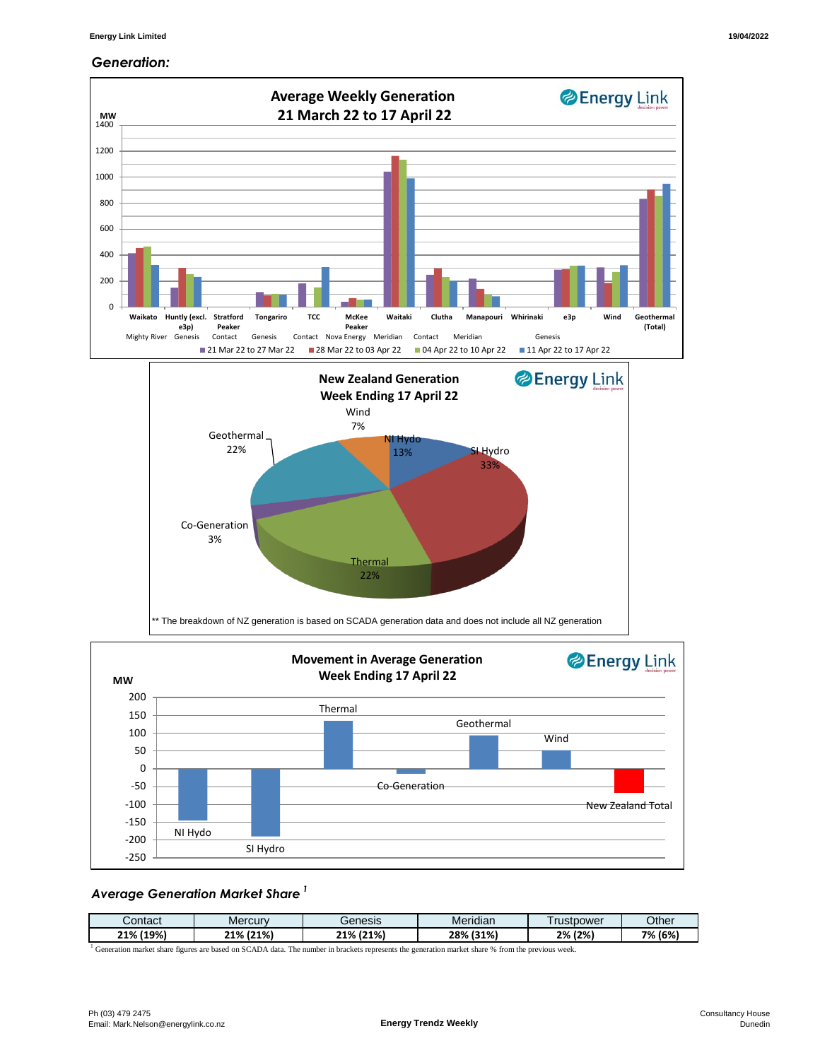#### *Generation:*



### *Average Generation Market Share <sup>1</sup>*

| Contact | Mercury | Genesis | $\cdots$<br>Meridian | rustpower | Other   |
|---------|---------|---------|----------------------|-----------|---------|
| (19%    | (21%)   | (21%)   | (31%)                | (2%)      | 7% (6%) |
| 21%     | 21%     | 21%     | 28%                  | 2%        |         |

<sup>1</sup> Generation market share figures are based on SCADA data. The number in brackets represents the generation market share % from the previous week.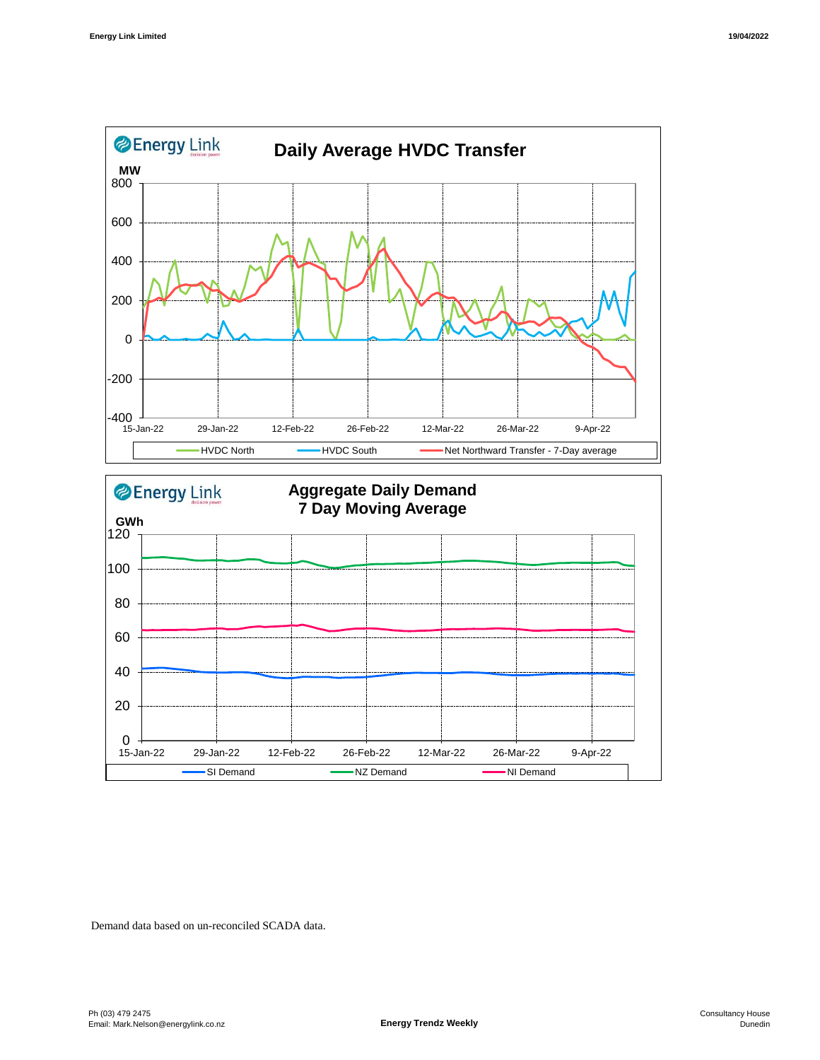



Demand data based on un-reconciled SCADA data.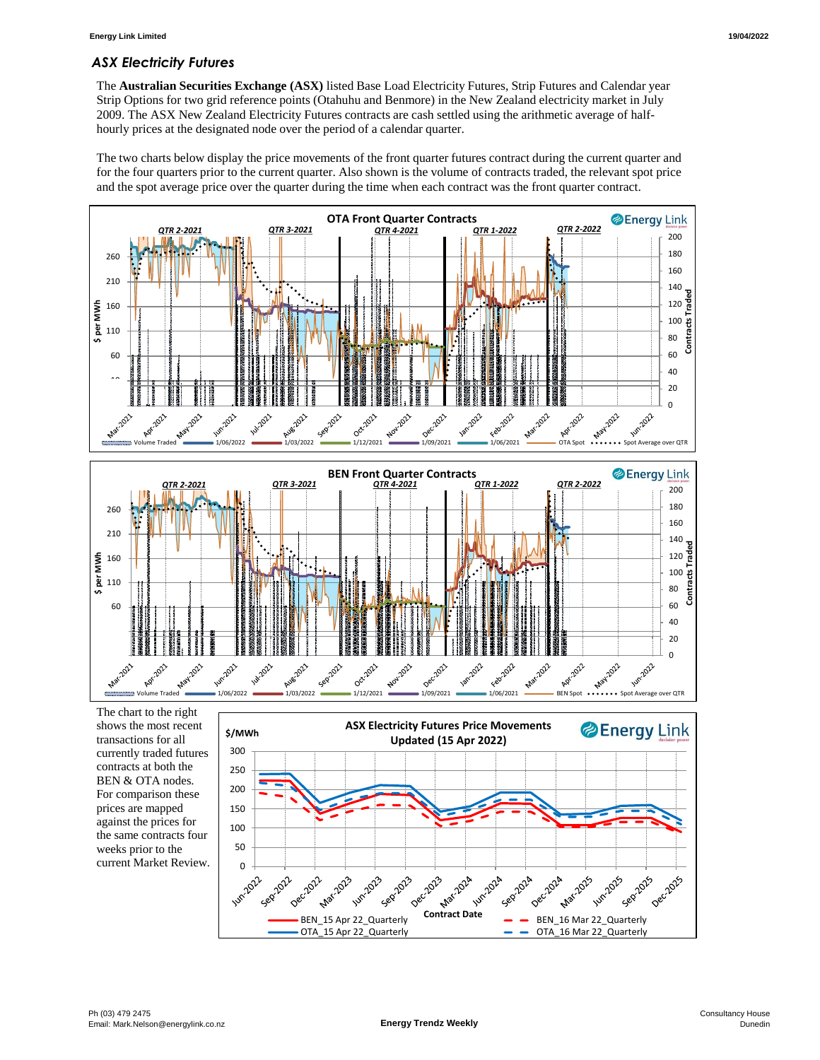## *ASX Electricity Futures*

The **Australian Securities Exchange (ASX)** listed Base Load Electricity Futures, Strip Futures and Calendar year Strip Options for two grid reference points (Otahuhu and Benmore) in the New Zealand electricity market in July 2009. The ASX New Zealand Electricity Futures contracts are cash settled using the arithmetic average of halfhourly prices at the designated node over the period of a calendar quarter.

The two charts below display the price movements of the front quarter futures contract during the current quarter and for the four quarters prior to the current quarter. Also shown is the volume of contracts traded, the relevant spot price and the spot average price over the quarter during the time when each contract was the front quarter contract.



currently traded futures contracts at both the BEN & OTA nodes. For comparison these prices are mapped against the prices for the same contracts four weeks prior to the current Market Review.